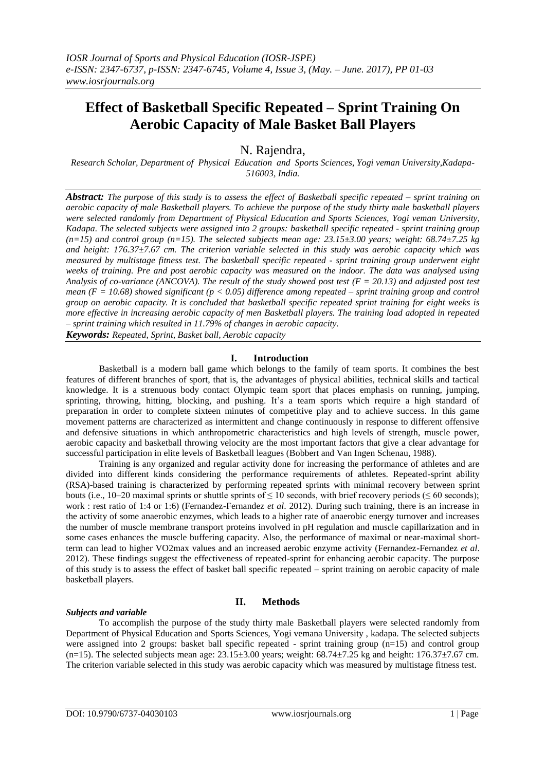# **Effect of Basketball Specific Repeated – Sprint Training On Aerobic Capacity of Male Basket Ball Players**

N. Rajendra,

*Research Scholar, Department of Physical Education and Sports Sciences, Yogi veman University,Kadapa-516003, India.*

*Abstract: The purpose of this study is to assess the effect of Basketball specific repeated – sprint training on aerobic capacity of male Basketball players. To achieve the purpose of the study thirty male basketball players were selected randomly from Department of Physical Education and Sports Sciences, Yogi veman University, Kadapa. The selected subjects were assigned into 2 groups: basketball specific repeated - sprint training group (n=15) and control group (n=15). The selected subjects mean age: 23.15±3.00 years; weight: 68.74±7.25 kg and height: 176.37±7.67 cm. The criterion variable selected in this study was aerobic capacity which was measured by multistage fitness test. The basketball specific repeated - sprint training group underwent eight weeks of training. Pre and post aerobic capacity was measured on the indoor. The data was analysed using Analysis of co-variance (ANCOVA). The result of the study showed post test (F = 20.13) and adjusted post test mean (F = 10.68) showed significant (p < 0.05) difference among repeated – sprint training group and control group on aerobic capacity. It is concluded that basketball specific repeated sprint training for eight weeks is more effective in increasing aerobic capacity of men Basketball players. The training load adopted in repeated – sprint training which resulted in 11.79% of changes in aerobic capacity.* 

*Keywords: Repeated, Sprint, Basket ball, Aerobic capacity* 

# **I. Introduction**

Basketball is a modern ball game which belongs to the family of team sports. It combines the best features of different branches of sport, that is, the advantages of physical abilities, technical skills and tactical knowledge. It is a strenuous body contact Olympic team sport that places emphasis on running, jumping, sprinting, throwing, hitting, blocking, and pushing. It's a team sports which require a high standard of preparation in order to complete sixteen minutes of competitive play and to achieve success. In this game movement patterns are characterized as intermittent and change continuously in response to different offensive and defensive situations in which anthropometric characteristics and high levels of strength, muscle power, aerobic capacity and basketball throwing velocity are the most important factors that give a clear advantage for successful participation in elite levels of Basketball leagues (Bobbert and Van Ingen Schenau, 1988).

Training is any organized and regular activity done for increasing the performance of athletes and are divided into different kinds considering the performance requirements of athletes. Repeated-sprint ability (RSA)-based training is characterized by performing repeated sprints with minimal recovery between sprint bouts (i.e., 10–20 maximal sprints or shuttle sprints of  $\leq 10$  seconds, with brief recovery periods ( $\leq 60$  seconds); work : rest ratio of 1:4 or 1:6) (Fernandez-Fernandez *et al*. 2012). During such training, there is an increase in the activity of some anaerobic enzymes, which leads to a higher rate of anaerobic energy turnover and increases the number of muscle membrane transport proteins involved in pH regulation and muscle capillarization and in some cases enhances the muscle buffering capacity. Also, the performance of maximal or near-maximal shortterm can lead to higher VO2max values and an increased aerobic enzyme activity (Fernandez-Fernandez *et al*. 2012). These findings suggest the effectiveness of repeated-sprint for enhancing aerobic capacity. The purpose of this study is to assess the effect of basket ball specific repeated – sprint training on aerobic capacity of male basketball players.

# *Subjects and variable*

#### **II. Methods**

To accomplish the purpose of the study thirty male Basketball players were selected randomly from Department of Physical Education and Sports Sciences, Yogi vemana University , kadapa. The selected subjects were assigned into 2 groups: basket ball specific repeated - sprint training group (n=15) and control group (n=15). The selected subjects mean age:  $23.15\pm3.00$  years; weight:  $68.74\pm7.25$  kg and height:  $176.37\pm7.67$  cm. The criterion variable selected in this study was aerobic capacity which was measured by multistage fitness test.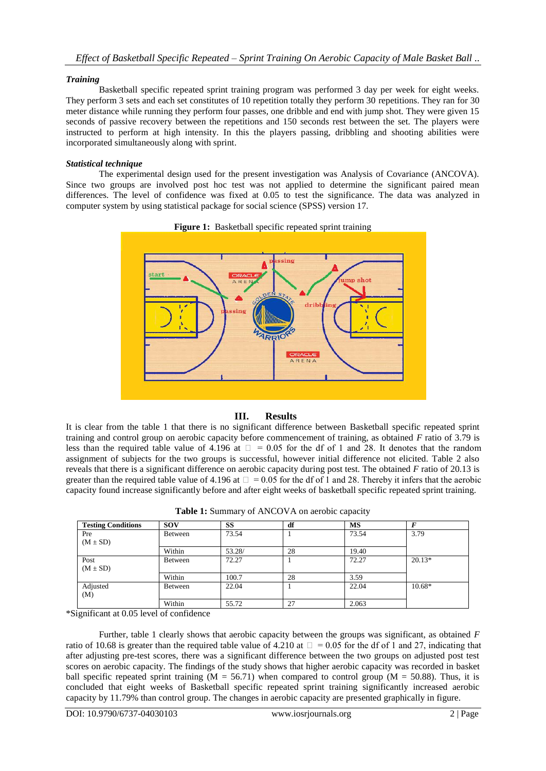### *Training*

Basketball specific repeated sprint training program was performed 3 day per week for eight weeks. They perform 3 sets and each set constitutes of 10 repetition totally they perform 30 repetitions. They ran for 30 meter distance while running they perform four passes, one dribble and end with jump shot. They were given 15 seconds of passive recovery between the repetitions and 150 seconds rest between the set. The players were instructed to perform at high intensity. In this the players passing, dribbling and shooting abilities were incorporated simultaneously along with sprint.

#### *Statistical technique*

The experimental design used for the present investigation was Analysis of Covariance (ANCOVA). Since two groups are involved post hoc test was not applied to determine the significant paired mean differences. The level of confidence was fixed at 0.05 to test the significance. The data was analyzed in computer system by using statistical package for social science (SPSS) version 17.



#### **Figure 1:** Basketball specific repeated sprint training

# **III. Results**

It is clear from the table 1 that there is no significant difference between Basketball specific repeated sprint training and control group on aerobic capacity before commencement of training, as obtained *F* ratio of 3.79 is less than the required table value of 4.196 at  $\Box = 0.05$  for the df of 1 and 28. It denotes that the random assignment of subjects for the two groups is successful, however initial difference not elicited. Table 2 also reveals that there is a significant difference on aerobic capacity during post test. The obtained *F* ratio of 20.13 is greater than the required table value of 4.196 at  $\Box = 0.05$  for the df of 1 and 28. Thereby it infers that the aerobic capacity found increase significantly before and after eight weeks of basketball specific repeated sprint training.

| <b>Testing Conditions</b> | <b>SOV</b>     | SS     | df | <b>MS</b> | F        |
|---------------------------|----------------|--------|----|-----------|----------|
| Pre                       | <b>Between</b> | 73.54  |    | 73.54     | 3.79     |
| $(M \pm SD)$              |                |        |    |           |          |
|                           | Within         | 53.28/ | 28 | 19.40     |          |
| Post                      | <b>Between</b> | 72.27  |    | 72.27     | $20.13*$ |
| $(M \pm SD)$              |                |        |    |           |          |
|                           | Within         | 100.7  | 28 | 3.59      |          |
| Adjusted                  | Between        | 22.04  |    | 22.04     | $10.68*$ |
| (M)                       |                |        |    |           |          |
|                           | Within         | 55.72  | 27 | 2.063     |          |

**Table 1:** Summary of ANCOVA on aerobic capacity

\*Significant at 0.05 level of confidence

Further, table 1 clearly shows that aerobic capacity between the groups was significant, as obtained *F*  ratio of 10.68 is greater than the required table value of 4.210 at  $\Box = 0.05$  for the df of 1 and 27, indicating that after adjusting pre-test scores, there was a significant difference between the two groups on adjusted post test scores on aerobic capacity. The findings of the study shows that higher aerobic capacity was recorded in basket ball specific repeated sprint training  $(M = 56.71)$  when compared to control group  $(M = 50.88)$ . Thus, it is concluded that eight weeks of Basketball specific repeated sprint training significantly increased aerobic capacity by 11.79% than control group. The changes in aerobic capacity are presented graphically in figure.